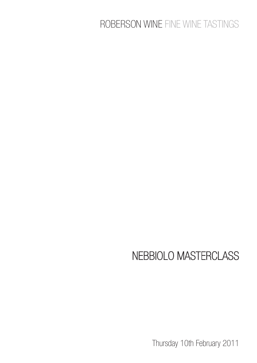# ROBERSON WINE FINE WINE TASTINGS

# NEBBIOLO MASTERCLASS

Thursday 10th February 2011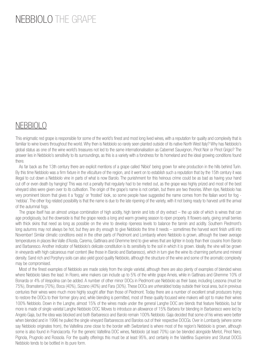## NEBBIOLO THE GRAPE

## NEBBIOLO

This enigmatic red grape is responsible for some of the world's finest and most long lived wines, with a reputation for quality and complexity that is familiar to wine lovers throughout the world. Why then is Nebbiolo so rarely seen planted outside of its native North West Italy? Why has Nebbiolo's global status as one of the wine world's treasures not led to the same internationalisation as Cabernet Sauvignon, Pinot Noir or Pinot Grigio? The answer lies in Nebbiolo's sensitivity to its surroundings, as this is a variety with a fondness for its homeland and the ideal growing conditions found there.

 As far back as the 13th century there are explicit mentions of a grape called 'Nibiol' being grown for wine production in the hills behind Turin. By this time Nebbiolo was a firm fixture in the viticulture of the region, and it went on to establish such a reputation that by the 15th century it was illegal to cut down a Nebbiolo vine in parts of what is now Barolo. The punishment for this heinous crime could be as bad as having your hand cut off or even death by hanging! This was not a penalty that regularly had to be meted out, as the grape was highly prized and most of the best vineyard sites were given over to its cultivation. The origin of the grape's name is not certain, but there are two theories. When ripe, Nebbiolo has very prominent bloom that gives it a 'foggy' or 'frosted' look, so some people have suggested the name comes from the Italian word for fog - 'nebbia'. The other fog related possibility is that the name is due to the late ripening of the variety, with it not being ready to harvest until the arrival of the autumnal fogs.

 The grape itself has an almost unique combination of high acidity, high tannin and lots of dry extract – the up side of which is wines that can age prodigiously, but the downside is that the grape needs a long and warm growing season to ripen properly. It flowers early, giving small berries with thick skins that need as long as possible on the vine to develop ripeness levels to balance the tannin and acidity. Southern Piedmont's long autumns may not always be hot, but they are dry enough to give Nebbiolo the time it needs – sometimes the harvest wont finish until into November! Similar climatic conditions exist in the other parts of Piedmont and Lombardy where Nebbiolo is grown, although the lower average temperatures in places like Valle d'Aosta, Carema, Gattinara and Ghemme tend to give wines that are lighter in body than their cousins from Barolo and Barbaresco. Another indicator of Nebbiolo's delicate constitution is its sensitivity to the soil in which it is grown. Ideally, the vine will be grown in vineyards with high calcareous marl content (like those in Barolo and Barbaresco), which in turn give the wine its charming perfume and mineral density. Sand rich and Porphyry soils can also yield good quality Nebbiolo, although the structure of the wine and some of the aromatic complexity may be compromised.

 Most of the finest examples of Nebbiolo are made solely from the single varietal, although there are also plenty of examples of blended wines where Nebbiolo takes the lead. In Roero, wine makers can include up to 5% of the white grape Arneis, while in Gattinara and Ghemme 10% of Bonarda or 4% of Vespolina can be added. A number of other minor DOCs in Piedmont use Nebbiolo as their base, including Lessona (must be 75%), Bramaterra (70%), Boca (40%), Sizzano (40%) and Fara (30%). These DOCs are unheralded today outside their local area, but in previous centuries their wines were much more highly sought after than those of Piedmont. Today there are a number of excellent small producers trying to restore the DOCs to their former glory and, while blending is permitted, most of these quality focused wine makers will opt to make their wines 100% Nebbiolo. Down in the Langhe, almost 15% of the wines made under the general Langhe DOC are blends that feature Nebbiolo, but far more is made of single varietal Langhe Nebbiolo DOC. Moves to introduce an allowance of 15% Barbera for blending in Barbaresco were led by Angelo Gaja, but the idea was blocked and both Barbaresco and Barolo remain 100% Nebbiolo. Gaja decided that some of his wines were better when blended and in 1996 he pulled the single vineyard Barbarescos and Barolos out of their respective DOCGs. Over in Lombardy (where some say Nebbiolo originates from), the Valtellina zone close to the border with Switzerland is where most of the region's Nebbiolo is grown, although some is also found in Franciacorta. For the generic Valtellina DOC wines, Nebbiolo (at least 70%) can be blended alongside Merlot, Pinot Nero, Pignola, Prugnolo and Rossola. For the quality offerings this must be at least 95%, and certainly in the Valetllina Superioire and Sfursat DOCG Nebbiolo tends to be bottled in its pure form.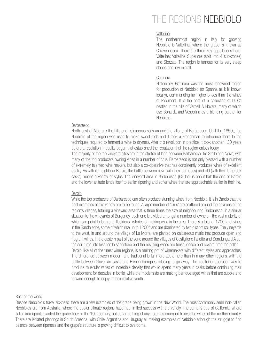## THE REGIONS NEBBIOLO

#### Valtellina

The northernmost region in Italy for growing Nebbiolo is Valtellina, where the grape is known as Chiavennasca. There are three key appellations here: Valtellina; Valtellina Superiore (split into 4 sub-zones) and Sforzato. The region is famous for its very steep slopes and low rainfall.

#### **Gattinara**

Historically, Gattinara was the most renowned region for production of Nebbiolo (or Spanna as it is known locally), commanding far higher prices than the wines of Piedmont. It is the best of a collection of DOCs nestled in the hills of Vercelli & Novara, many of which use Bonarda and Vespolina as a blending partner for Nebbiolo.

#### Barbaresco

North-east of Alba are the hills and calcareous soils around the village of Barbaresco. Until the 1850s, the Nebbiolo of the region was used to make sweet reds and it took a Frenchman to introduce them to the techniques required to ferment a wine to dryness. After this revolution in practice, it took another 130 years before a revolution in quality began that established the reputation that the region enjoys today.

The majority of the top vineyard sites are in the stretch of land between Barbaresco, Tre Stelle and Neive, with many of the top producers owning vines in a number of crus. Barbaresco is not only blessed with a number of extremely talented wine makers, but also a co-operative that has consistently produces wines of excellent quality. As with its neighbour Barolo, the battle between new (with their barriques) and old (with their large oak casks) means a variety of styles. The vineyard area in Barbaresco (680ha) is about half the size of Barolo and the lower altitude lends itself to earlier ripening and softer wines that are approachable earlier in their life.

#### Barolo

While the top producers of Barbaresco can often produce stunning wines from Nebbiolo, it is in Barolo that the best examples of this variety are to be found. A large number of 'Crus' are scattered around the environs of the region's villages, totalling a vineyard area that is three times the size of neighbouring Barbaresco. In a similar situation to the vineyards of Burgundy, each one is divided amongst a number of owners - the vast majority of which can point to long and illustrious histories of making wine in the area. There is a total of 1700ha of vines in the Barolo zone, some of which rise up to 1200ft and are dominated by two distinct soil types. The vineyards to the west, in and around the village of La Morra, are planted on calcareous marls that produce open and fragrant wines. In the eastern part of the zone around the villages of Castiglione Falletto and Serralunga d'Alba, the soil turns into less fertile sandstone and the resulting wines are tense, dense and reward time the cellar. Barolo, like all of the finest wine regions, is a melting pot of winemakers with different styles and approaches. The difference between modern and traditional is far more acute here than in many other regions, with the battle between Slovenian casks and French barriques refusing to go away. The traditional approach was to produce muscular wines of incredible density that would spend many years in casks before continuing their development for decades in bottle, while the modernists are making barrique aged wines that are supple and forward enough to enjoy in their relative youth.

#### Rest of the world

Despite Nebbiolo's travel sickness, there are a few examples of the grape being grown in the New World. The most commonly seen non-Italian Nebbiolos are from Australia, where the cooler climate regions have had limited success with the variety. The same is true of California, where Italian immigrants planted the grape back in the 19th century, but so far nothing of any note has emerged to rival the wines of the mother country. There are isolated plantings in South America, with Chile, Argentina and Uruguay all making examples of Nebbiolo although the struggle to find balance between ripeness and the grape's structure is proving difficult to overcome.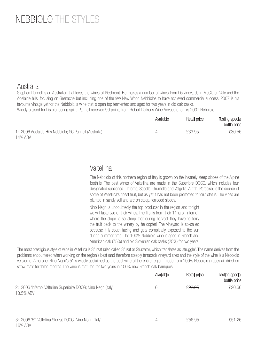# NEBBIOLO THE STYLES

#### Australia

Stephen Pannell is an Australian that loves the wines of Piedmont. He makes a number of wines from his vineyards in McClaren Vale and the Adelaide hills, focusing on Grenache but including one of the few New World Nebbiolos to have achieved commercial success. 2007 is his favourite vintage yet for the Nebbiolo, a wine that is open top fermented and aged for two years in old oak casks.

Widely praised for his pioneering spirit, Pannell received 90 points from Robert Parker's Wine Advocate for his 2007 Nebbiolo.

|                                                         | Available | Retail price       | <b>Tasting special</b><br>bottle price |
|---------------------------------------------------------|-----------|--------------------|----------------------------------------|
| 1: 2006 Adelaide Hills Nebbiolo; SC Pannell (Australia) |           | £ <del>33.95</del> | £30.56                                 |
| 14% ABV                                                 |           |                    |                                        |

## Valtellina

The Nebbiolo of this northern region of Italy is grown on the insanely steep slopes of the Alpine foothills. The best wines of Valtellina are made in the Superiore DOCG, which includes four designated subzones - Inferno, Sasella, Grumello and Valgella. A fifth, Paradiso, is the source of some of Valtellina's finest fruit, but as yet it has not been promoted to 'cru' status. The vines are planted in sandy soil and are on steep, terraced slopes.

Nino Negri is undoubtedly the top producer in the region and tonight we will taste two of their wines. The first is from their 11ha of 'Inferno', where the slope is so steep that during harvest they have to ferry the fruit back to the winery by helicopter! The vineyard is so-called because it is south facing and gets completely exposed to the sun during summer time. The 100% Nebbiolo wine is aged in French and American oak (75%) and old Slovenian oak casks (25%) for two years.

The most prestigious style of wine in Valtellina is Sfursat (also called Sfuzat or Sfurzato), which translates as 'struggle'. The name derives from the problems encountered when working on the region's best (and therefore steeply terraced) vineyard sites and the style of the wine is a Nebbiolo version of Amarone. Nino Negri's 5<sup>\*</sup> is widely acclaimed as the best wine of the entire region, made from 100% Nebbiolo grapes air dried on straw mats for three months. The wine is matured for two years in 100% new French oak barriques.

|                                                                               | Available | Retail price       | Tasting special<br>bottle price |
|-------------------------------------------------------------------------------|-----------|--------------------|---------------------------------|
| 2: 2006 'Inferno' Valtellina Superioire DOCG; Nino Negri (Italy)<br>13.5% ABV | 6         | £ <del>22.95</del> | £20.66                          |
| 3: 2006 '5*' Valtellina Sfurzat DOCG; Nino Negri (Italy)<br>16% ABV           | 4         | £ <del>56.95</del> | £51.26                          |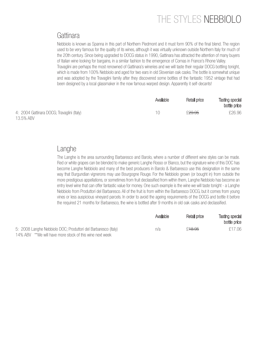# THE STYLES NEBBIOLO

### **Gattinara**

Nebbiolo is known as Spanna in this part of Northern Piedmont and it must form 90% of the final blend. The region used to be very famous for the quality of its wines, although it was virtually unknown outside Northern Italy for much of the 20th century. Since being upgraded to DOCG status in 1990, Gattinara has attracted the attention of many buyers of Italian wine looking for bargains, in a similar fashion to the emergence of Cornas in France's Rhone Valley. Travaglini are perhaps the most renowned of Gattinara's wineries and we will taste their regular DOCG bottling tonight, which is made from 100% Nebbiolo and aged for two ears in old Slovenian oak casks. The bottle is somewhat unique and was adopted by the Travaglini family after they discovered some bottles of the fantastic 1952 vintage that had been designed by a local glassmaker in the now famous warped design. Apparently it self-decants!

|                                            | Available | Retail price       | Tasting special<br>bottle price |
|--------------------------------------------|-----------|--------------------|---------------------------------|
| 4: 2004 Gattinara DOCG; Travaglini (Italy) |           | £ <del>29.95</del> | £26.96                          |
| 13.5% ABV                                  |           |                    |                                 |

#### Langhe

The Langhe is the area surrounding Barbaresco and Barolo, where a number of different wine styles can be made. Red or white grapes can be blended to make generic Langhe Rosso or Bianco, but the signature wine of this DOC has become Langhe Nebbiolo and many of the best producers in Barolo & Barbaresco use this designation in the same way that Burgundian vignerons may use Bourgogne Rouge. For the Nebbiolo grown (or bought in) from outside the more prestigious appellations, or sometimes from fruit declassified from within them, Langhe Nebbiolo has become an entry level wine that can offer fantastic value for money. One such example is the wine we will taste tonight - a Langhe Nebbiolo from Produttori del Barbaresco. All of the fruit is from within the Barbaresco DOCG, but it comes from young vines or less auspicious vineyard parcels. In order to avoid the ageing requirements of the DOCG and bottle it before the required 21 months for Barbaresco, the wine is bottled after 9 months in old oak casks and declassified.

|                                                                | Available | Retail price       | Tasting special<br>bottle price |
|----------------------------------------------------------------|-----------|--------------------|---------------------------------|
| 5: 2008 Langhe Nebbiolo DOC; Produttori del Barbaresco (Italy) | n/a       | £ <del>18.95</del> | £17.06                          |
| 14% ABV **We will have more stock of this wine next week       |           |                    |                                 |